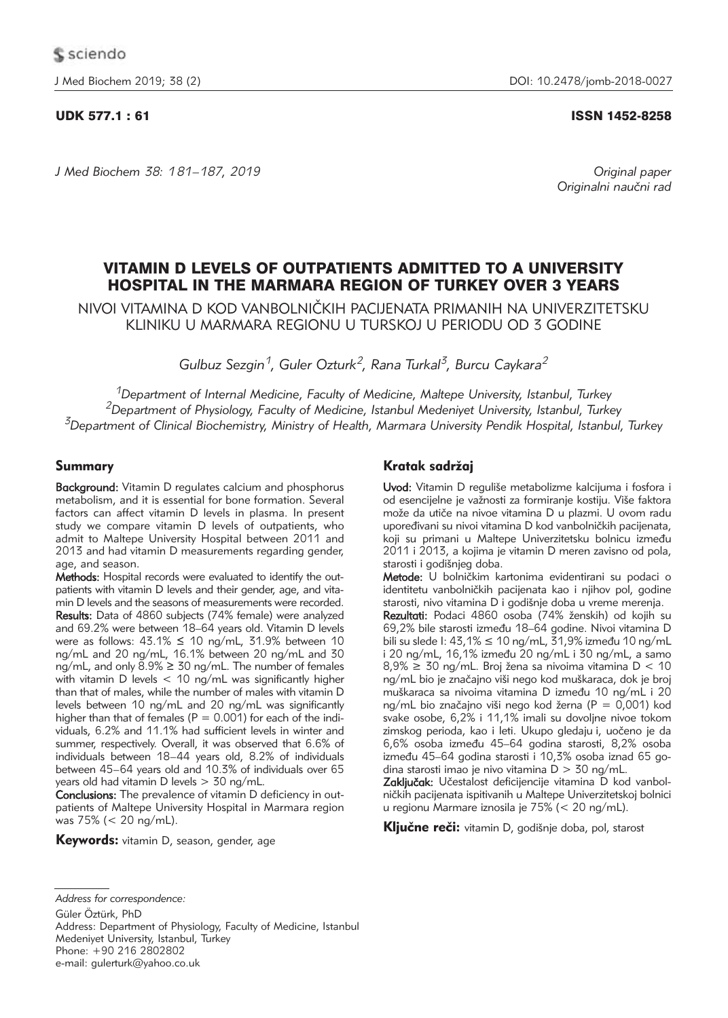*J Med Biochem 38: 181–187, 2019 Original paper*

## UDK 577.1 : 61 ISSN 1452-8258

Originalni naučni rad

# VITAMIN D LEVELS OF OUTPATIENTS ADMITTED TO A UNIVERSITY HOSPITAL IN THE MARMARA REGION OF TURKEY OVER 3 YEARS

NIVOI VITAMINA D KOD VANBOLNIČKIH PACIJENATA PRIMANIH NA UNIVERZITETSKU KLINIKU U MARMARA REGIONU U TURSKOJ U PERIODU OD 3 GODINE

*Gulbuz Sezgin1, Guler Ozturk2, Rana Turkal3, Burcu Caykara2*

*1Department of Internal Medicine, Faculty of Medicine, Maltepe University, Istanbul, Turkey 2Department of Physiology, Faculty of Medicine, Istanbul Medeniyet University, Istanbul, Turkey 3Department of Clinical Biochemistry, Ministry of Health, Marmara University Pendik Hospital, Istanbul, Turkey*

## Summary

Background: Vitamin D regulates calcium and phosphorus metabolism, and it is essential for bone formation. Several factors can affect vitamin D levels in plasma. In present study we compare vitamin D levels of outpatients, who admit to Maltepe University Hospital between 2011 and 2013 and had vitamin D measurements regarding gender, age, and season.

Methods: Hospital records were evaluated to identify the outpatients with vitamin D levels and their gender, age, and vitamin D levels and the seasons of measurements were recorded. Results: Data of 4860 subjects (74% female) were analyzed and 69.2% were between 18–64 years old. Vitamin D levels were as follows:  $43.1\% \le 10$  ng/mL,  $31.9\%$  between 10 ng/mL and 20 ng/mL, 16.1% between 20 ng/mL and 30  $nq/mL$ , and only  $8.9\% \geq 30$  ng/mL. The number of females with vitamin D levels < 10 ng/mL was significantly higher than that of males, while the number of males with vitamin D levels between 10 ng/mL and 20 ng/mL was significantly higher than that of females ( $P = 0.001$ ) for each of the individuals, 6.2% and 11.1% had sufficient levels in winter and summer, respectively. Overall, it was observed that 6.6% of individuals between 18–44 years old, 8.2% of individuals between 45–64 years old and 10.3% of individuals over 65 years old had vitamin D levels > 30 ng/mL.

Conclusions: The prevalence of vitamin D deficiency in outpatients of Maltepe University Hospital in Marmara region was 75% (< 20 ng/mL).

Keywords: vitamin D, season, gender, age

## Kratak sadržaj

Uvod: Vitamin D reguliše metabolizme kalcijuma i fosfora i od esencijelne je važnosti za formiranje kostiju. Više faktora može da utiče na nivoe vitamina D u plazmi. U ovom radu upoređivani su nivoi vitamina D kod vanbolničkih pacijenata, koji su primani u Maltepe Univerzitetsku bolnicu između 2011 i 2013, a kojima je vitamin D meren zavisno od pola, starosti i godišnjeg doba.

Metode: U bolničkim kartonima evidentirani su podaci o identitetu vanbolničkih pacijenata kao i njihov pol, godine starosti, nivo vitamina D i godišnje doba u vreme merenja.

Rezultati: Podaci 4860 osoba (74% ženskih) od kojih su 69,2% bile starosti između 18–64 godine. Nivoi vitamina D bili su slede I: 43,1%  $\leq$  10 ng/mL, 31,9% između 10 ng/mL i 20 ng/mL, 16,1% između 20 ng/mL i 30 ng/mL, a samo  $8,9\% \geq 30$  ng/mL. Broj žena sa nivoima vitamina D < 10 ng/mL bio je značajno viši nego kod muškaraca, dok je broj muškaraca sa nivoima vitamina D između 10 ng/mL i 20 ng/mL bio značajno viši nego kod žerna (P = 0,001) kod svake osobe, 6,2% i 11,1% imali su dovoljne nivoe tokom zimskog perioda, kao i leti. Ukupo gledaju i, uočeno je da 6,6% osoba između 45–64 godina starosti, 8,2% osoba između 45–64 godina starosti i 10,3% osoba iznad 65 godina starosti imao je nivo vitamina  $D > 30$  ng/mL.

Zaključak: Učestalost deficijencije vitamina D kod vanbolničkih pacijenata ispitivanih u Maltepe Univerzitetskoj bolnici u regionu Marmare iznosila je 75% (< 20 ng/mL).

Ključne reči: vitamin D, godišnje doba, pol, starost

Güler Öztürk, PhD

Address: Department of Physiology, Faculty of Medicine, Istanbul Medeniyet University, Istanbul, Turkey Phone: +90 216 2802802

e-mail: gulerturk@yahoo.co.uk

*Address for correspondence:*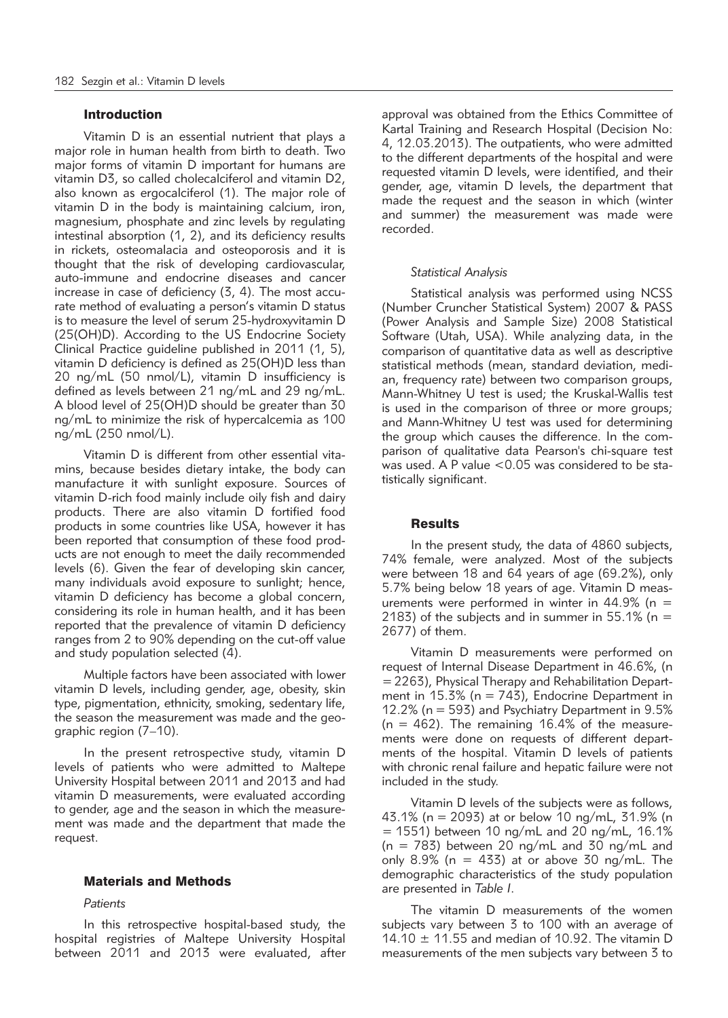### Introduction

Vitamin D is an essential nutrient that plays a major role in human health from birth to death. Two major forms of vitamin D important for humans are vitamin D3, so called cholecalciferol and vitamin D2, also known as ergocalciferol (1). The major role of vitamin D in the body is maintaining calcium, iron, magnesium, phosphate and zinc levels by regulating intestinal absorption (1, 2), and its deficiency results in rickets, osteomalacia and osteoporosis and it is thought that the risk of developing cardiovascular, auto-immune and endocrine diseases and cancer increase in case of deficiency (3, 4). The most accurate method of evaluating a person's vitamin D status is to measure the level of serum 25-hydroxyvitamin D (25(OH)D). According to the US Endocrine Society Clinical Practice guideline published in 2011 (1, 5), vitamin D deficiency is defined as 25(OH)D less than 20 ng/mL (50 nmol/L), vitamin D insufficiency is defined as levels between 21 ng/mL and 29 ng/mL. A blood level of 25(OH)D should be greater than 30 ng/mL to minimize the risk of hypercalcemia as 100 ng/mL (250 nmol/L).

Vitamin D is different from other essential vitamins, because besides dietary intake, the body can manufacture it with sunlight exposure. Sources of vitamin D-rich food mainly include oily fish and dairy products. There are also vitamin D fortified food products in some countries like USA, however it has been reported that consumption of these food products are not enough to meet the daily recommended levels (6). Given the fear of developing skin cancer, many individuals avoid exposure to sunlight; hence, vitamin D deficiency has become a global concern, considering its role in human health, and it has been reported that the prevalence of vitamin D deficiency ranges from 2 to 90% depending on the cut-off value and study population selected (4).

Multiple factors have been associated with lower vitamin D levels, including gender, age, obesity, skin type, pigmentation, ethnicity, smoking, sedentary life, the season the measurement was made and the geographic region (7–10).

In the present retrospective study, vitamin D levels of patients who were admitted to Maltepe University Hospital between 2011 and 2013 and had vitamin D measurements, were evaluated according to gender, age and the season in which the measurement was made and the department that made the request.

## Materials and Methods

#### *Patients*

In this retrospective hospital-based study, the hospital registries of Maltepe University Hospital between 2011 and 2013 were evaluated, after approval was obtained from the Ethics Committee of Kartal Training and Research Hospital (Decision No: 4, 12.03.2013). The outpatients, who were admitted to the different departments of the hospital and were requested vitamin D levels, were identified, and their gender, age, vitamin D levels, the department that made the request and the season in which (winter and summer) the measurement was made were recorded.

#### *Statistical Analysis*

Statistical analysis was performed using NCSS (Number Cruncher Statistical System) 2007 & PASS (Power Analysis and Sample Size) 2008 Statistical Software (Utah, USA). While analyzing data, in the comparison of quantitative data as well as descriptive statistical methods (mean, standard deviation, median, frequency rate) between two comparison groups, Mann-Whitney U test is used; the Kruskal-Wallis test is used in the comparison of three or more groups; and Mann-Whitney U test was used for determining the group which causes the difference. In the comparison of qualitative data Pearson's chi-square test was used. A P value  $< 0.05$  was considered to be statistically significant.

### **Results**

In the present study, the data of 4860 subjects, 74% female, were analyzed. Most of the subjects were between 18 and 64 years of age (69.2%), only 5.7% being below 18 years of age. Vitamin D measurements were performed in winter in  $44.9\%$  (n = 2183) of the subjects and in summer in  $55.1\%$  (n = 2677) of them.

Vitamin D measurements were performed on request of Internal Disease Department in 46.6%, (n  $=$  2263), Physical Therapy and Rehabilitation Department in  $15.3\%$  (n = 743), Endocrine Department in 12.2% (n = 593) and Psychiatry Department in 9.5%  $(n = 462)$ . The remaining 16.4% of the measurements were done on requests of different departments of the hospital. Vitamin D levels of patients with chronic renal failure and hepatic failure were not included in the study.

Vitamin D levels of the subjects were as follows, 43.1% (n = 2093) at or below 10 ng/mL, 31.9% (n  $= 1551$ ) between 10 ng/mL and 20 ng/mL, 16.1% (n = 783) between 20 ng/mL and 30 ng/mL and only 8.9% ( $n = 433$ ) at or above 30 ng/mL. The demographic characteristics of the study population are presented in *Table I*.

The vitamin D measurements of the women subjects vary between 3 to 100 with an average of 14.10  $\pm$  11.55 and median of 10.92. The vitamin D measurements of the men subjects vary between 3 to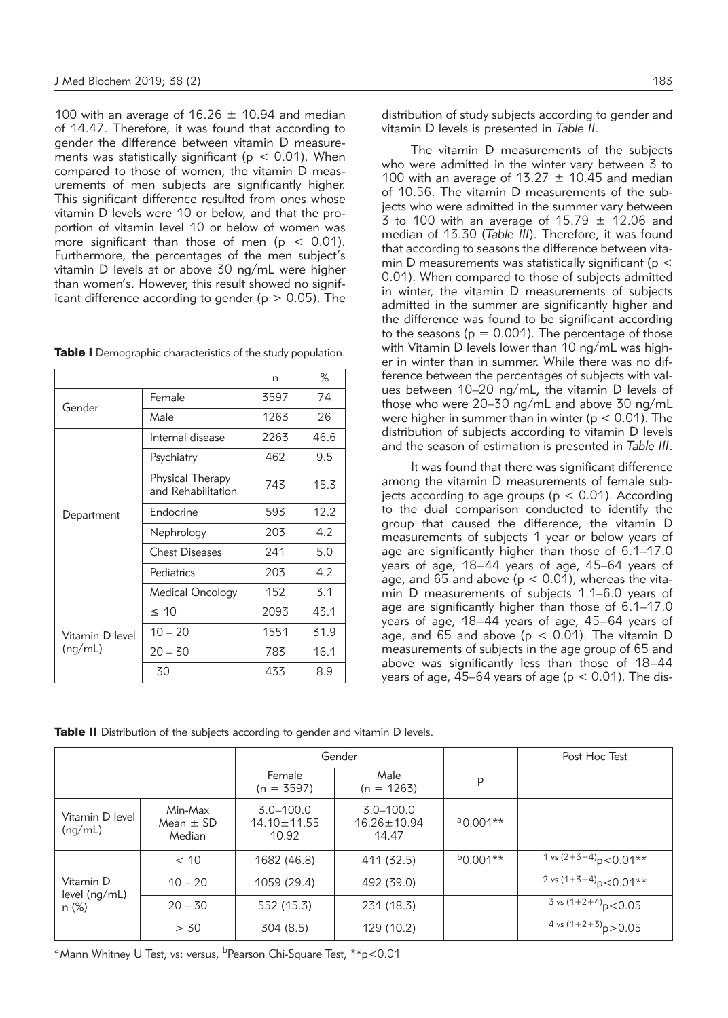100 with an average of 16.26  $\pm$  10.94 and median of 14.47. Therefore, it was found that according to gender the difference between vitamin D measurements was statistically significant ( $p < 0.01$ ). When compared to those of women, the vitamin D measurements of men subjects are significantly higher. This significant difference resulted from ones whose vitamin D levels were 10 or below, and that the proportion of vitamin level 10 or below of women was more significant than those of men ( $p < 0.01$ ). Furthermore, the percentages of the men subject's vitamin D levels at or above 30 ng/mL were higher than women's. However, this result showed no significant difference according to gender ( $p > 0.05$ ). The

| Table I Demographic characteristics of the study population. |  |  |  |
|--------------------------------------------------------------|--|--|--|
|--------------------------------------------------------------|--|--|--|

|                 |                                        | n    | ℅    |
|-----------------|----------------------------------------|------|------|
| Gender          | Female                                 | 3597 | 74   |
|                 | Male                                   | 1263 | 26   |
|                 | Internal disease                       | 2263 | 46.6 |
|                 | Psychiatry                             | 462  | 9.5  |
| Department      | Physical Therapy<br>and Rehabilitation | 743  | 15.3 |
|                 | Endocrine                              | 593  | 12.2 |
|                 | Nephrology                             | 203  | 4.2  |
|                 | <b>Chest Diseases</b>                  | 241  | 5.0  |
|                 | Pediatrics                             | 203  | 4.2  |
|                 | Medical Oncology                       | 152  | 3.1  |
| Vitamin D level | $\leq 10$                              | 2093 | 43.1 |
|                 | $10 - 20$                              | 1551 | 31.9 |
| (ng/mL)         | $20 - 30$                              | 783  | 16.1 |
|                 | 30                                     | 433  | 8.9  |

distribution of study subjects according to gender and vitamin D levels is presented in *Table II*.

The vitamin D measurements of the subjects who were admitted in the winter vary between 3 to 100 with an average of  $13.27 \pm 10.45$  and median of 10.56. The vitamin D measurements of the subjects who were admitted in the summer vary between 3 to 100 with an average of 15.79  $\pm$  12.06 and median of 13.30 (*Table III*). Therefore, it was found that according to seasons the difference between vitamin D measurements was statistically significant ( $p <$ 0.01). When compared to those of subjects admitted in winter, the vitamin D measurements of subjects admitted in the summer are significantly higher and the difference was found to be significant according to the seasons ( $p = 0.001$ ). The percentage of those with Vitamin D levels lower than 10 ng/mL was higher in winter than in summer. While there was no difference between the percentages of subjects with values between 10–20 ng/mL, the vitamin D levels of those who were 20–30 ng/mL and above 30 ng/mL were higher in summer than in winter ( $p < 0.01$ ). The distribution of subjects according to vitamin D levels and the season of estimation is presented in *Table III*.

It was found that there was significant difference among the vitamin D measurements of female subjects according to age groups ( $p < 0.01$ ). According to the dual comparison conducted to identify the group that caused the difference, the vitamin D measurements of subjects 1 year or below years of age are significantly higher than those of 6.1–17.0 years of age, 18–44 years of age, 45–64 years of age, and 65 and above ( $p < 0.01$ ), whereas the vitamin D measurements of subjects 1.1–6.0 years of age are significantly higher than those of 6.1–17.0 years of age, 18–44 years of age, 45–64 years of age, and  $65$  and above ( $p < 0.01$ ). The vitamin D measurements of subjects in the age group of 65 and above was significantly less than those of 18–44 years of age,  $45-64$  years of age ( $p < 0.01$ ). The dis-

**Table II** Distribution of the subjects according to gender and vitamin D levels.

|                                     |                                    |                                             | Gender                                      |            | Post Hoc Test                                |
|-------------------------------------|------------------------------------|---------------------------------------------|---------------------------------------------|------------|----------------------------------------------|
|                                     |                                    | Female<br>$(n = 3597)$                      | Male<br>$(n = 1263)$                        | P          |                                              |
| Vitamin D level<br>(ng/mL)          | Min-Max<br>Mean $\pm$ SD<br>Median | $3.0 - 100.0$<br>$14.10 \pm 11.55$<br>10.92 | $3.0 - 100.0$<br>$16.26 \pm 10.94$<br>14.47 | $a0.001**$ |                                              |
|                                     | < 10                               | 1682 (46.8)                                 | 411 (32.5)                                  | $b0.001**$ | 1 vs $(2+3+4)$ <sub>p</sub> < 0.01**         |
| Vitamin D<br>level (nq/mL)<br>n (%) | $10 - 20$                          | 1059 (29.4)                                 | 492 (39.0)                                  |            | $\sqrt{2}$ vs (1+3+4) <sub>p</sub> < 0.01**  |
|                                     | $20 - 30$                          | 552 (15.3)                                  | 231 (18.3)                                  |            | $\frac{3}{3}$ vs (1+2+4) <sub>p</sub> < 0.05 |
|                                     | > 30                               | 304 (8.5)                                   | 129 (10.2)                                  |            | $\frac{4 \text{ vs } (1+2+3)}{D}$ > 0.05     |

<sup>a</sup> Mann Whitney U Test, vs: versus, <sup>b</sup>Pearson Chi-Square Test,  $*$  $*$ p<0.01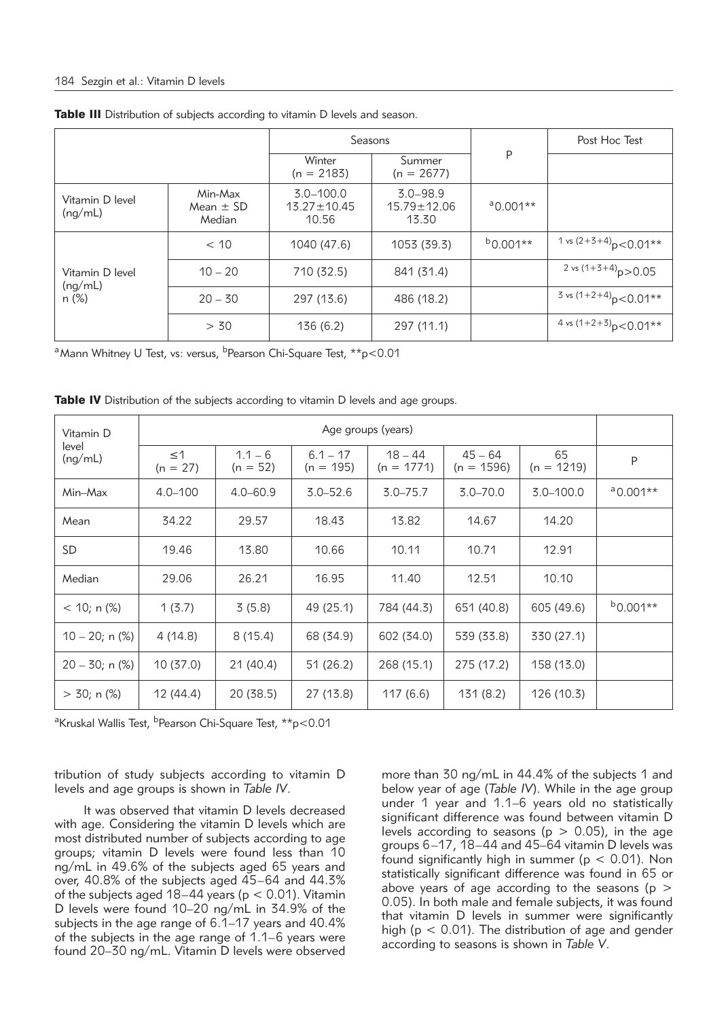|                                     |                                    | Seasons                                     |                                            |               | Post Hoc Test                          |
|-------------------------------------|------------------------------------|---------------------------------------------|--------------------------------------------|---------------|----------------------------------------|
|                                     |                                    | Winter<br>$(n = 2183)$                      | Summer<br>$(n = 2677)$                     | P             |                                        |
| Vitamin D level<br>(nq/mL)          | Min-Max<br>Mean $\pm$ SD<br>Median | $3.0 - 100.0$<br>$13.27 \pm 10.45$<br>10.56 | $3.0 - 98.9$<br>$15.79 \pm 12.06$<br>13.30 | $a_{0.001**}$ |                                        |
|                                     | < 10                               | 1040 (47.6)                                 | 1053 (39.3)                                | $b0.001**$    | 1 vs $(2+3+4)$ <sub>D</sub> $<$ 0.01** |
| Vitamin D level<br>(nq/mL)<br>n (%) | $10 - 20$                          | 710 (32.5)                                  | 841 (31.4)                                 |               | 2 vs $(1+3+4)$ <sub>p</sub> $>$ 0.05   |
|                                     | $20 - 30$                          | 297 (13.6)                                  | 486 (18.2)                                 |               | 3 vs $(1+2+4)$ <sub>D</sub> $<$ 0.01** |
|                                     | > 30                               | 136(6.2)                                    | 297 (11.1)                                 |               | 4 vs $(1+2+3)$ <sub>D</sub> $<$ 0.01** |

Table III Distribution of subjects according to vitamin D levels and season.

<sup>a</sup> Mann Whitney U Test, vs: versus, <sup>b</sup>Pearson Chi-Square Test,  $*p$ <0.01

| Vitamin D            | Age groups (years)     |                         |                           |                           |                           |                    |               |
|----------------------|------------------------|-------------------------|---------------------------|---------------------------|---------------------------|--------------------|---------------|
| level<br>(ng/mL)     | $\leq$ 1<br>$(n = 27)$ | $1.1 - 6$<br>$(n = 52)$ | $6.1 - 17$<br>$(n = 195)$ | $18 - 44$<br>$(n = 1771)$ | $45 - 64$<br>$(n = 1596)$ | 65<br>$(n = 1219)$ | P             |
| Min-Max              | $4.0 - 100$            | $4.0 - 60.9$            | $3.0 - 52.6$              | $3.0 - 75.7$              | $3.0 - 70.0$              | $3.0 - 100.0$      | $a_{0.001**}$ |
| Mean                 | 34.22                  | 29.57                   | 18.43                     | 13.82                     | 14.67                     | 14.20              |               |
| SD.                  | 19.46                  | 13.80                   | 10.66                     | 10.11                     | 10.71                     | 12.91              |               |
| Median               | 29.06                  | 26.21                   | 16.95                     | 11.40                     | 12.51                     | 10.10              |               |
| $<$ 10; n (%)        | 1(3.7)                 | 3(5.8)                  | 49 (25.1)                 | 784 (44.3)                | 651 (40.8)                | 605 (49.6)         | $b0.001**$    |
| $10 - 20$ ; n $(\%)$ | 4(14.8)                | 8(15.4)                 | 68 (34.9)                 | 602 (34.0)                | 539 (33.8)                | 330 (27.1)         |               |
| $20 - 30$ ; n $(\%)$ | 10(37.0)               | 21(40.4)                | 51 (26.2)                 | 268 (15.1)                | 275 (17.2)                | 158 (13.0)         |               |
| $>$ 30; n (%)        | 12 (44.4)              | 20 (38.5)               | 27 (13.8)                 | 117(6.6)                  | 131(8.2)                  | 126 (10.3)         |               |

**Table IV** Distribution of the subjects according to vitamin D levels and age groups.

<sup>a</sup>Kruskal Wallis Test, <sup>b</sup>Pearson Chi-Square Test, \*\*p<0.01

tribution of study subjects according to vitamin D levels and age groups is shown in *Table IV*.

It was observed that vitamin D levels decreased with age. Considering the vitamin D levels which are most distributed number of subjects according to age groups; vitamin D levels were found less than 10 ng/mL in 49.6% of the subjects aged 65 years and over, 40.8% of the subjects aged 45–64 and 44.3% of the subjects aged  $18-44$  years (p < 0.01). Vitamin D levels were found 10–20 ng/mL in 34.9% of the subjects in the age range of 6.1–17 years and 40.4% of the subjects in the age range of 1.1–6 years were found 20–30 ng/mL. Vitamin D levels were observed more than 30 ng/mL in 44.4% of the subjects 1 and below year of age (*Table IV*). While in the age group under 1 year and 1.1–6 years old no statistically significant difference was found between vitamin D levels according to seasons ( $p > 0.05$ ), in the age groups 6–17, 18–44 and 45–64 vitamin D levels was found significantly high in summer ( $p < 0.01$ ). Non statistically significant difference was found in 65 or above years of age according to the seasons ( $p >$ 0.05). In both male and female subjects, it was found that vitamin D levels in summer were significantly high ( $p < 0.01$ ). The distribution of age and gender according to seasons is shown in *Table V*.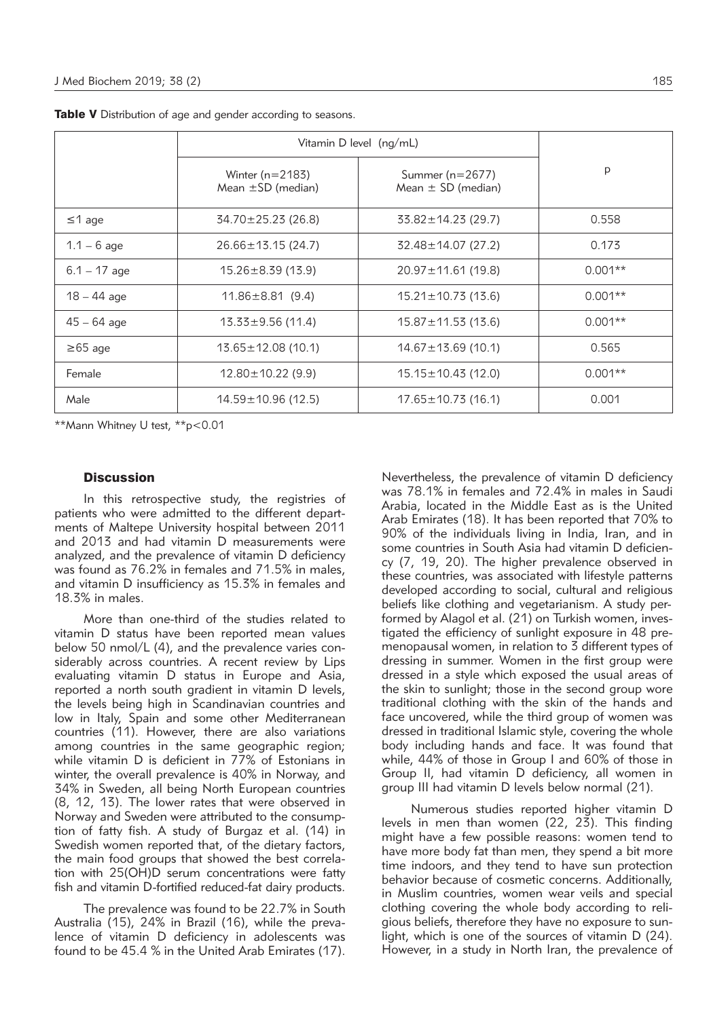|                | Vitamin D level (ng/mL)                     |                                               |           |
|----------------|---------------------------------------------|-----------------------------------------------|-----------|
|                | Winter $(n=2183)$<br>Mean $\pm$ SD (median) | Summer ( $n=2677$ )<br>Mean $\pm$ SD (median) | p         |
| $\leq$ 1 age   | $34.70 \pm 25.23$ (26.8)                    | $33.82 \pm 14.23$ (29.7)                      | 0.558     |
| $1.1 - 6$ age  | $26.66 \pm 13.15(24.7)$                     | $32.48 \pm 14.07$ (27.2)                      | 0.173     |
| $6.1 - 17$ age | $15.26 \pm 8.39$ (13.9)                     | $20.97 \pm 11.61$ (19.8)                      | $0.001**$ |
| $18 - 44$ age  | $11.86 \pm 8.81$ (9.4)                      | $15.21 \pm 10.73$ (13.6)                      | $0.001**$ |
| $45 - 64$ age  | $13.33 \pm 9.56$ (11.4)                     | $15.87 \pm 11.53$ (13.6)                      | $0.001**$ |
| $\geq 65$ age  | $13.65 \pm 12.08$ (10.1)                    | $14.67 \pm 13.69$ (10.1)                      | 0.565     |
| Female         | $12.80 \pm 10.22$ (9.9)                     | $15.15 \pm 10.43$ (12.0)                      | $0.001**$ |
| Male           | $14.59 \pm 10.96$ (12.5)                    | $17.65 \pm 10.73$ (16.1)                      | 0.001     |

Table V Distribution of age and gender according to seasons.

\*\*Mann Whitney U test, \*\*p<0.01

## **Discussion**

In this retrospective study, the registries of patients who were admitted to the different departments of Maltepe University hospital between 2011 and 2013 and had vitamin D measurements were analyzed, and the prevalence of vitamin D deficiency was found as 76.2% in females and 71.5% in males, and vitamin D insufficiency as 15.3% in females and 18.3% in males.

More than one-third of the studies related to vitamin D status have been reported mean values below 50 nmol/L (4), and the prevalence varies considerably across countries. A recent review by Lips evaluating vitamin D status in Europe and Asia, reported a north south gradient in vitamin D levels, the levels being high in Scandinavian countries and low in Italy, Spain and some other Mediterranean countries (11). However, there are also variations among countries in the same geographic region; while vitamin D is deficient in 77% of Estonians in winter, the overall prevalence is 40% in Norway, and 34% in Sweden, all being North European countries (8, 12, 13). The lower rates that were observed in Norway and Sweden were attributed to the consumption of fatty fish. A study of Burgaz et al. (14) in Swedish women reported that, of the dietary factors, the main food groups that showed the best correlation with 25(OH)D serum concentrations were fatty fish and vitamin D-fortified reduced-fat dairy products.

The prevalence was found to be 22.7% in South Australia (15), 24% in Brazil (16), while the prevalence of vitamin D deficiency in adolescents was found to be 45.4 % in the United Arab Emirates (17).

Nevertheless, the prevalence of vitamin D deficiency was 78.1% in females and 72.4% in males in Saudi Arabia, located in the Middle East as is the United Arab Emirates (18). It has been reported that 70% to 90% of the individuals living in India, Iran, and in some countries in South Asia had vitamin D deficiency (7, 19, 20). The higher prevalence observed in these countries, was associated with lifestyle patterns developed according to social, cultural and religious beliefs like clothing and vegetarianism. A study performed by Alagol et al. (21) on Turkish women, investigated the efficiency of sunlight exposure in 48 premenopausal women, in relation to 3 different types of dressing in summer. Women in the first group were dressed in a style which exposed the usual areas of the skin to sunlight; those in the second group wore traditional clothing with the skin of the hands and face uncovered, while the third group of women was dressed in traditional Islamic style, covering the whole body including hands and face. It was found that while, 44% of those in Group I and 60% of those in Group II, had vitamin D deficiency, all women in group III had vitamin D levels below normal (21).

Numerous studies reported higher vitamin D levels in men than women (22, 23). This finding might have a few possible reasons: women tend to have more body fat than men, they spend a bit more time indoors, and they tend to have sun protection behavior because of cosmetic concerns. Additionally, in Muslim countries, women wear veils and special clothing covering the whole body according to religious beliefs, therefore they have no exposure to sunlight, which is one of the sources of vitamin D (24). However, in a study in North Iran, the prevalence of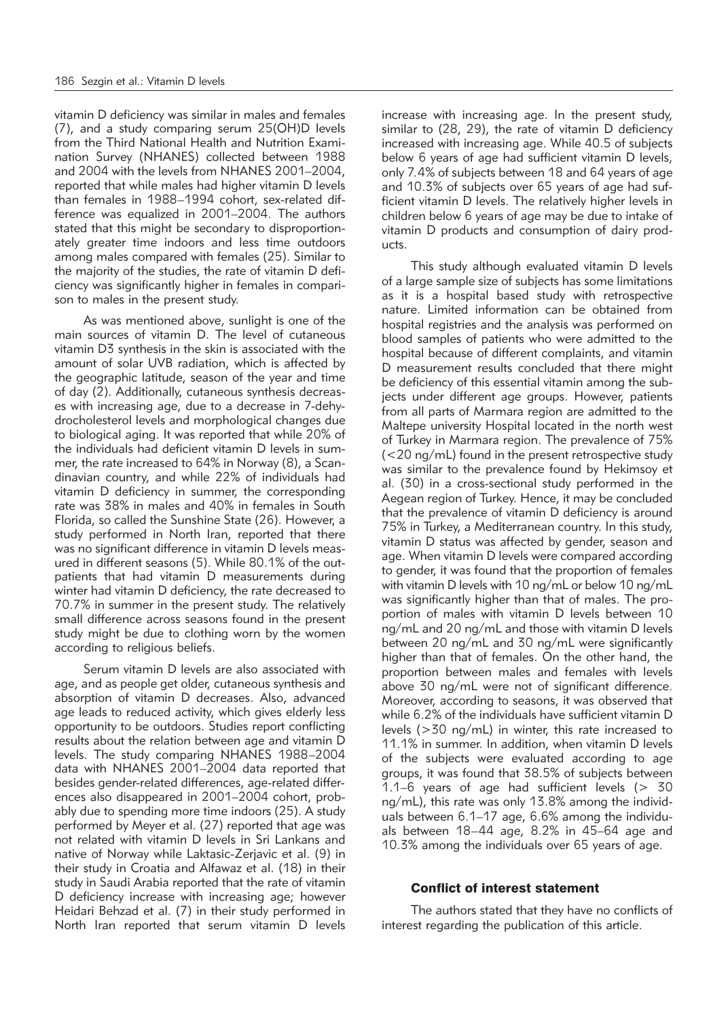vitamin D deficiency was similar in males and females (7), and a study comparing serum 25(OH)D levels from the Third National Health and Nutrition Examination Survey (NHANES) collected between 1988 and 2004 with the levels from NHANES 2001–2004, reported that while males had higher vitamin D levels than females in 1988–1994 cohort, sex-related difference was equalized in 2001–2004. The authors stated that this might be secondary to disproportionately greater time indoors and less time outdoors among males compared with females (25). Similar to the majority of the studies, the rate of vitamin D deficiency was significantly higher in females in comparison to males in the present study.

As was mentioned above, sunlight is one of the main sources of vitamin D. The level of cutaneous vitamin D3 synthesis in the skin is associated with the amount of solar UVB radiation, which is affected by the geographic latitude, season of the year and time of day (2). Additionally, cutaneous synthesis decreases with increasing age, due to a decrease in 7-dehydrocholesterol levels and morphological changes due to biological aging. It was reported that while 20% of the individuals had deficient vitamin D levels in summer, the rate increased to 64% in Norway (8), a Scandinavian country, and while 22% of individuals had vitamin D deficiency in summer, the corresponding rate was 38% in males and 40% in females in South Florida, so called the Sunshine State (26). However, a study performed in North Iran, reported that there was no significant difference in vitamin D levels measured in different seasons (5). While 80.1% of the outpatients that had vitamin D measurements during winter had vitamin D deficiency, the rate decreased to 70.7% in summer in the present study. The relatively small difference across seasons found in the present study might be due to clothing worn by the women according to religious beliefs.

Serum vitamin D levels are also associated with age, and as people get older, cutaneous synthesis and absorption of vitamin D decreases. Also, advanced age leads to reduced activity, which gives elderly less opportunity to be outdoors. Studies report conflicting results about the relation between age and vitamin D levels. The study comparing NHANES 1988–2004 data with NHANES 2001–2004 data reported that besides gender-related differences, age-related differences also disappeared in 2001–2004 cohort, probably due to spending more time indoors (25). A study performed by Meyer et al. (27) reported that age was not related with vitamin D levels in Sri Lankans and native of Norway while Laktasic-Zerjavic et al. (9) in their study in Croatia and Alfawaz et al. (18) in their study in Saudi Arabia reported that the rate of vitamin D deficiency increase with increasing age; however Heidari Behzad et al. (7) in their study performed in North Iran reported that serum vitamin D levels increase with increasing age. In the present study, similar to (28, 29), the rate of vitamin D deficiency increased with increasing age. While 40.5 of subjects below 6 years of age had sufficient vitamin D levels, only 7.4% of subjects between 18 and 64 years of age and 10.3% of subjects over 65 years of age had sufficient vitamin D levels. The relatively higher levels in children below 6 years of age may be due to intake of vitamin D products and consumption of dairy products.

This study although evaluated vitamin D levels of a large sample size of subjects has some limitations as it is a hospital based study with retrospective nature. Limited information can be obtained from hospital registries and the analysis was performed on blood samples of patients who were admitted to the hospital because of different complaints, and vitamin D measurement results concluded that there might be deficiency of this essential vitamin among the subjects under different age groups. However, patients from all parts of Marmara region are admitted to the Maltepe university Hospital located in the north west of Turkey in Marmara region. The prevalence of 75% (<20 ng/mL) found in the present retrospective study was similar to the prevalence found by Hekimsoy et al. (30) in a cross-sectional study performed in the Aegean region of Turkey. Hence, it may be concluded that the prevalence of vitamin D deficiency is around 75% in Turkey, a Mediterranean country. In this study, vitamin D status was affected by gender, season and age. When vitamin D levels were compared according to gender, it was found that the proportion of females with vitamin D levels with 10 ng/mL or below 10 ng/mL was significantly higher than that of males. The proportion of males with vitamin D levels between 10 ng/mL and 20 ng/mL and those with vitamin D levels between 20 ng/mL and 30 ng/mL were significantly higher than that of females. On the other hand, the proportion between males and females with levels above 30 ng/mL were not of significant difference. Moreover, according to seasons, it was observed that while 6.2% of the individuals have sufficient vitamin D levels (>30 ng/mL) in winter, this rate increased to 11.1% in summer. In addition, when vitamin D levels of the subjects were evaluated according to age groups, it was found that 38.5% of subjects between 1.1–6 years of age had sufficient levels (> 30 ng/mL), this rate was only 13.8% among the individuals between 6.1–17 age, 6.6% among the individuals between 18–44 age, 8.2% in 45–64 age and 10.3% among the individuals over 65 years of age.

### Conflict of interest statement

The authors stated that they have no conflicts of interest regarding the publication of this article.